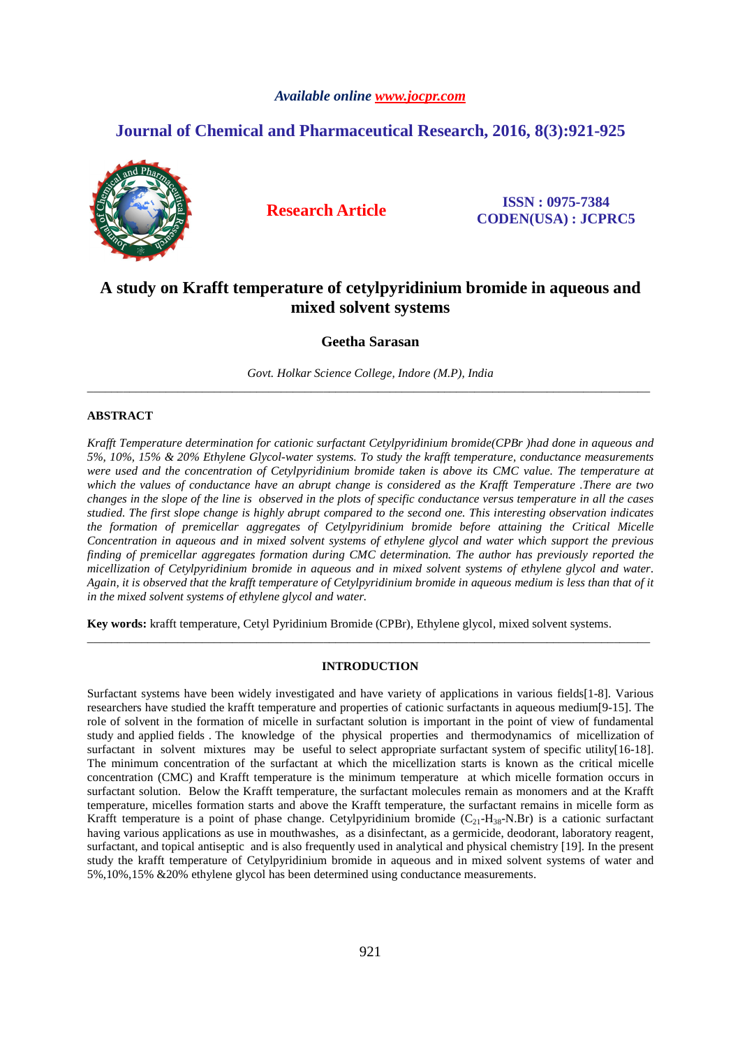## *Available online www.jocpr.com*

# **Journal of Chemical and Pharmaceutical Research, 2016, 8(3):921-925**



**Research Article ISSN : 0975-7384 CODEN(USA) : JCPRC5**

# **A study on Krafft temperature of cetylpyridinium bromide in aqueous and mixed solvent systems**

**Geetha Sarasan** 

*Govt. Holkar Science College, Indore (M.P), India*  \_\_\_\_\_\_\_\_\_\_\_\_\_\_\_\_\_\_\_\_\_\_\_\_\_\_\_\_\_\_\_\_\_\_\_\_\_\_\_\_\_\_\_\_\_\_\_\_\_\_\_\_\_\_\_\_\_\_\_\_\_\_\_\_\_\_\_\_\_\_\_\_\_\_\_\_\_\_\_\_\_\_\_\_\_\_\_\_\_\_\_\_\_

## **ABSTRACT**

*Krafft Temperature determination for cationic surfactant Cetylpyridinium bromide(CPBr )had done in aqueous and 5%, 10%, 15% & 20% Ethylene Glycol-water systems. To study the krafft temperature, conductance measurements were used and the concentration of Cetylpyridinium bromide taken is above its CMC value. The temperature at which the values of conductance have an abrupt change is considered as the Krafft Temperature .There are two changes in the slope of the line is observed in the plots of specific conductance versus temperature in all the cases studied. The first slope change is highly abrupt compared to the second one. This interesting observation indicates the formation of premicellar aggregates of Cetylpyridinium bromide before attaining the Critical Micelle Concentration in aqueous and in mixed solvent systems of ethylene glycol and water which support the previous finding of premicellar aggregates formation during CMC determination. The author has previously reported the micellization of Cetylpyridinium bromide in aqueous and in mixed solvent systems of ethylene glycol and water. Again, it is observed that the krafft temperature of Cetylpyridinium bromide in aqueous medium is less than that of it in the mixed solvent systems of ethylene glycol and water.* 

**Key words:** krafft temperature, Cetyl Pyridinium Bromide (CPBr), Ethylene glycol, mixed solvent systems.

### **INTRODUCTION**

\_\_\_\_\_\_\_\_\_\_\_\_\_\_\_\_\_\_\_\_\_\_\_\_\_\_\_\_\_\_\_\_\_\_\_\_\_\_\_\_\_\_\_\_\_\_\_\_\_\_\_\_\_\_\_\_\_\_\_\_\_\_\_\_\_\_\_\_\_\_\_\_\_\_\_\_\_\_\_\_\_\_\_\_\_\_\_\_\_\_\_\_\_

Surfactant systems have been widely investigated and have variety of applications in various fields[1-8]. Various researchers have studied the krafft temperature and properties of cationic surfactants in aqueous medium[9-15]. The role of solvent in the formation of micelle in surfactant solution is important in the point of view of fundamental study and applied fields . The knowledge of the physical properties and thermodynamics of micellization of surfactant in solvent mixtures may be useful to select appropriate surfactant system of specific utility[16-18]. The minimum concentration of the surfactant at which the micellization starts is known as the critical micelle concentration (CMC) and Krafft temperature is the minimum temperature at which micelle formation occurs in surfactant solution. Below the Krafft temperature, the surfactant molecules remain as monomers and at the Krafft temperature, micelles formation starts and above the Krafft temperature, the surfactant remains in micelle form as Krafft temperature is a point of phase change. Cetylpyridinium bromide  $(C_{21}-H_{38}-N.Br)$  is a cationic surfactant having various applications as use in mouthwashes, as a disinfectant, as a germicide, deodorant, laboratory reagent, surfactant, and topical antiseptic and is also frequently used in analytical and physical chemistry [19]. In the present study the krafft temperature of Cetylpyridinium bromide in aqueous and in mixed solvent systems of water and 5%,10%,15% &20% ethylene glycol has been determined using conductance measurements.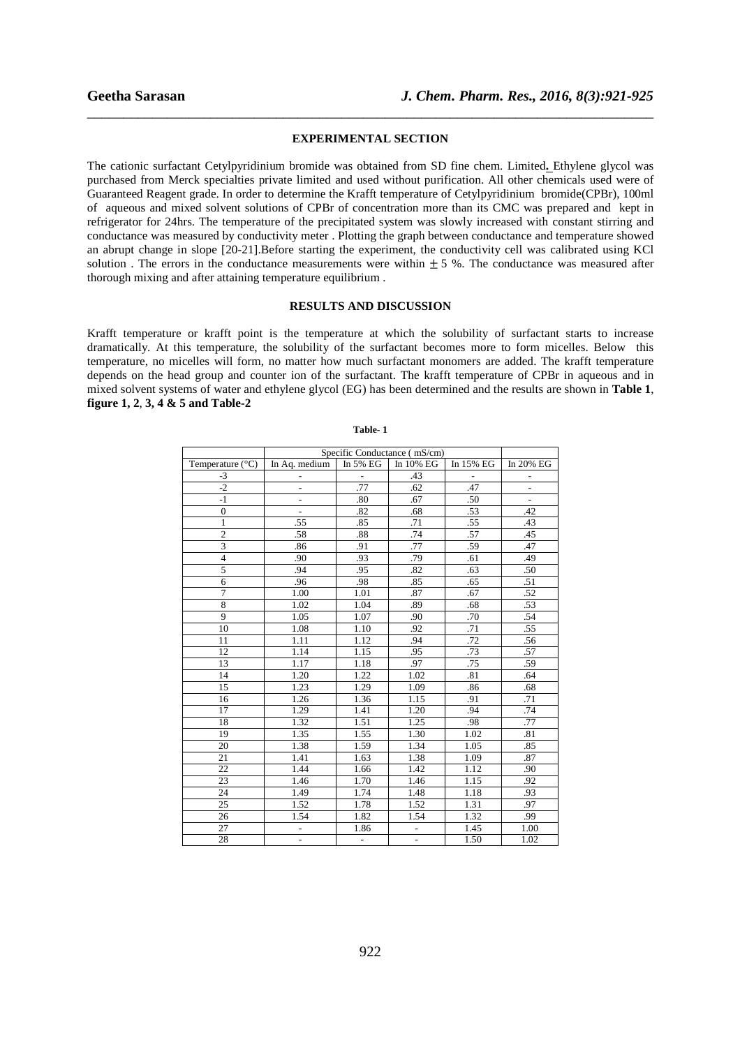#### **EXPERIMENTAL SECTION**

\_\_\_\_\_\_\_\_\_\_\_\_\_\_\_\_\_\_\_\_\_\_\_\_\_\_\_\_\_\_\_\_\_\_\_\_\_\_\_\_\_\_\_\_\_\_\_\_\_\_\_\_\_\_\_\_\_\_\_\_\_\_\_\_\_\_\_\_\_\_\_\_\_\_\_\_\_\_

The cationic surfactant Cetylpyridinium bromide was obtained from SD fine chem. Limited**.** Ethylene glycol was purchased from Merck specialties private limited and used without purification. All other chemicals used were of Guaranteed Reagent grade. In order to determine the Krafft temperature of Cetylpyridinium bromide(CPBr), 100ml of aqueous and mixed solvent solutions of CPBr of concentration more than its CMC was prepared and kept in refrigerator for 24hrs. The temperature of the precipitated system was slowly increased with constant stirring and conductance was measured by conductivity meter . Plotting the graph between conductance and temperature showed an abrupt change in slope [20-21].Before starting the experiment, the conductivity cell was calibrated using KCl solution. The errors in the conductance measurements were within  $\pm$  5 %. The conductance was measured after thorough mixing and after attaining temperature equilibrium .

## **RESULTS AND DISCUSSION**

Krafft temperature or krafft point is the temperature at which the solubility of surfactant starts to increase dramatically. At this temperature, the solubility of the surfactant becomes more to form micelles. Below this temperature, no micelles will form, no matter how much surfactant monomers are added. The krafft temperature depends on the head group and counter ion of the surfactant. The krafft temperature of CPBr in aqueous and in mixed solvent systems of water and ethylene glycol (EG) has been determined and the results are shown in **Table 1**, **figure 1, 2**, **3, 4 & 5 and Table-2** 

|                           | Specific Conductance (mS/cm) |               |                |           |                          |
|---------------------------|------------------------------|---------------|----------------|-----------|--------------------------|
| Temperature $(^{\circ}C)$ | In Aq. medium                | In 5% EG      | In 10% EG      | In 15% EG | In 20% $\overline{EG}$   |
| $-3$                      |                              | -             | .43            |           | $\overline{\phantom{0}}$ |
| $-2$                      | $\frac{1}{2}$                | .77           | .62            | .47       | $\overline{\phantom{0}}$ |
| $-1$                      | $\overline{a}$               | .80           | .67            | .50       | ÷                        |
| $\boldsymbol{0}$          | $\overline{a}$               | .82           | .68            | .53       | .42                      |
| $\mathbf{1}$              | .55                          | .85           | .71            | .55       | .43                      |
| $\overline{2}$            | .58                          | .88           | .74            | .57       | .45                      |
| 3                         | .86                          | .91           | .77            | .59       | .47                      |
| $\overline{4}$            | .90                          | .93           | .79            | .61       | .49                      |
| 5                         | .94                          | .95           | .82            | .63       | .50                      |
| 6                         | .96                          | .98           | .85            | .65       | .51                      |
| $\overline{7}$            | 1.00                         | 1.01          | .87            | .67       | .52                      |
| 8                         | 1.02                         | 1.04          | .89            | .68       | .53                      |
| 9                         | 1.05                         | 1.07          | .90            | .70       | .54                      |
| 10                        | 1.08                         | 1.10          | .92            | .71       | .55                      |
| 11                        | 1.11                         | 1.12          | .94            | .72       | .56                      |
| 12                        | 1.14                         | 1.15          | .95            | .73       | .57                      |
| 13                        | 1.17                         | 1.18          | .97            | .75       | .59                      |
| 14                        | 1.20                         | 1.22          | 1.02           | .81       | .64                      |
| 15                        | 1.23                         | 1.29          | 1.09           | .86       | .68                      |
| 16                        | 1.26                         | 1.36          | 1.15           | .91       | .71                      |
| 17                        | 1.29                         | 1.41          | 1.20           | .94       | .74                      |
| 18                        | 1.32                         | 1.51          | 1.25           | .98       | .77                      |
| 19                        | 1.35                         | 1.55          | 1.30           | 1.02      | .81                      |
| 20                        | 1.38                         | 1.59          | 1.34           | 1.05      | .85                      |
| 21                        | 1.41                         | 1.63          | 1.38           | 1.09      | .87                      |
| 22                        | 1.44                         | 1.66          | 1.42           | 1.12      | .90                      |
| 23                        | 1.46                         | 1.70          | 1.46           | 1.15      | .92                      |
| 24                        | 1.49                         | 1.74          | 1.48           | 1.18      | .93                      |
| 25                        | 1.52                         | 1.78          | 1.52           | 1.31      | .97                      |
| 26                        | 1.54                         | 1.82          | 1.54           | 1.32      | .99                      |
| 27                        | $\frac{1}{2}$                | 1.86          | $\overline{a}$ | 1.45      | 1.00                     |
| 28                        | $\overline{a}$               | $\frac{1}{2}$ | $\frac{1}{2}$  | 1.50      | 1.02                     |

#### **Table- 1**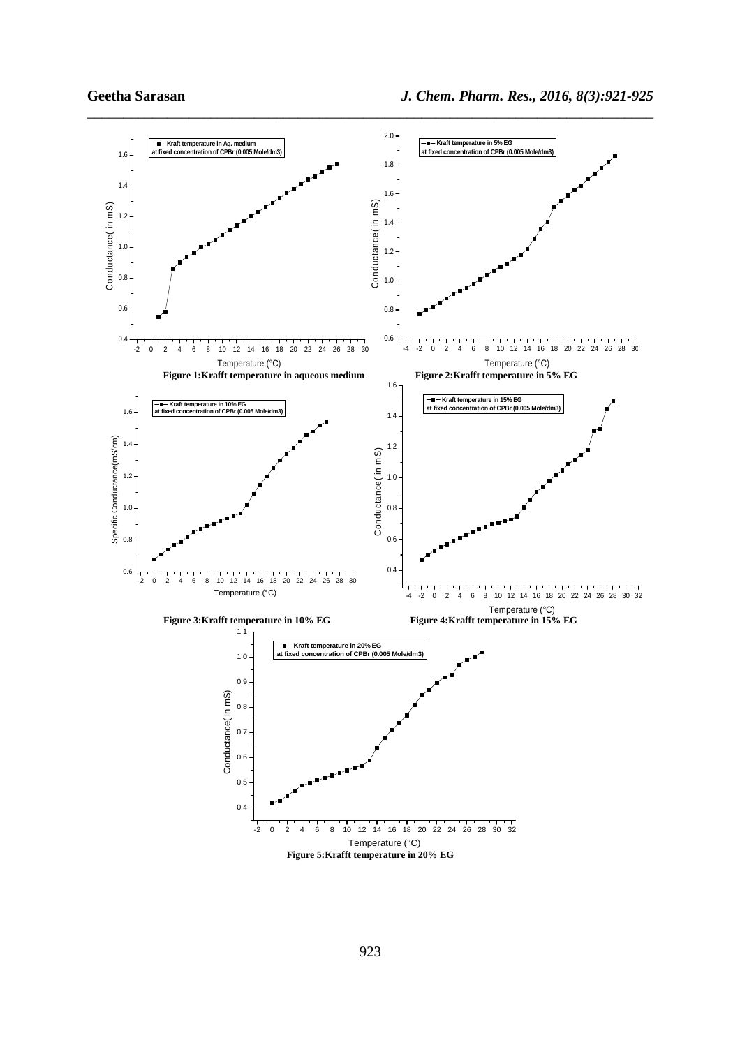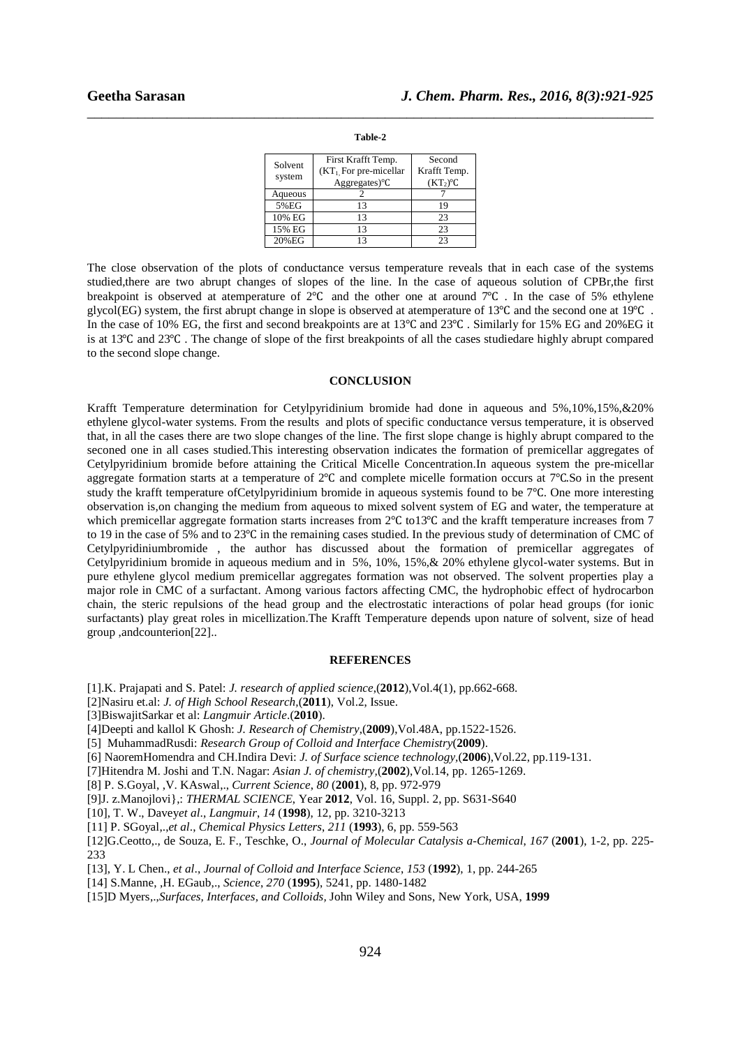| _____ |         | ________<br>______ |
|-------|---------|--------------------|
|       |         |                    |
|       | Table-2 |                    |

| Solvent<br>system | First Krafft Temp.<br>$(KT1, For pre-micellar)$<br>$Aggregates)$ <sup>o</sup> $C$ | Second<br>Krafft Temp.<br>$(KT_2)^{\circ}C$ |
|-------------------|-----------------------------------------------------------------------------------|---------------------------------------------|
| Aqueous           |                                                                                   |                                             |
| 5%EG              | 13                                                                                | 19                                          |
| 10% EG            | 13                                                                                | 23                                          |
| 15% EG            | 13                                                                                | 23                                          |
| 20%EG             | 13                                                                                | つっ                                          |

The close observation of the plots of conductance versus temperature reveals that in each case of the systems studied,there are two abrupt changes of slopes of the line. In the case of aqueous solution of CPBr,the first breakpoint is observed at atemperature of 2℃ and the other one at around 7℃ . In the case of 5% ethylene glycol(EG) system, the first abrupt change in slope is observed at atemperature of 13<sup>o</sup>C and the second one at 19<sup>o</sup>C. In the case of 10% EG, the first and second breakpoints are at 13℃ and 23℃ . Similarly for 15% EG and 20%EG it is at 13℃ and 23℃ . The change of slope of the first breakpoints of all the cases studiedare highly abrupt compared to the second slope change.

#### **CONCLUSION**

Krafft Temperature determination for Cetylpyridinium bromide had done in aqueous and 5%,10%,15%,&20% ethylene glycol-water systems. From the results and plots of specific conductance versus temperature, it is observed that, in all the cases there are two slope changes of the line. The first slope change is highly abrupt compared to the seconed one in all cases studied.This interesting observation indicates the formation of premicellar aggregates of Cetylpyridinium bromide before attaining the Critical Micelle Concentration.In aqueous system the pre-micellar aggregate formation starts at a temperature of 2℃ and complete micelle formation occurs at 7℃.So in the present study the krafft temperature ofCetylpyridinium bromide in aqueous systemis found to be 7℃. One more interesting observation is,on changing the medium from aqueous to mixed solvent system of EG and water, the temperature at which premicellar aggregate formation starts increases from 2℃ to13℃ and the krafft temperature increases from 7 to 19 in the case of 5% and to 23℃ in the remaining cases studied. In the previous study of determination of CMC of Cetylpyridiniumbromide , the author has discussed about the formation of premicellar aggregates of Cetylpyridinium bromide in aqueous medium and in 5%, 10%, 15%,& 20% ethylene glycol-water systems. But in pure ethylene glycol medium premicellar aggregates formation was not observed. The solvent properties play a major role in CMC of a surfactant. Among various factors affecting CMC, the hydrophobic effect of hydrocarbon chain, the steric repulsions of the head group and the electrostatic interactions of polar head groups (for ionic surfactants) play great roles in micellization.The Krafft Temperature depends upon nature of solvent, size of head group ,andcounterion[22]..

### **REFERENCES**

- [1].K. Prajapati and S. Patel: *J. research of applied science*,(**2012**),Vol.4(1), pp.662-668.
- [2]Nasiru et.al: *J. of High School Research,*(**2011**), Vol.2, Issue.
- [3]BiswajitSarkar et al: *Langmuir Article*.(**2010**).
- [4]Deepti and kallol K Ghosh: *J. Research of Chemistry*,(**2009**),Vol.48A, pp.1522-1526.
- [5] MuhammadRusdi: *Research Group of Colloid and Interface Chemistry*(**2009**).
- [6] NaoremHomendra and CH.Indira Devi: *J. of Surface science technology,*(**2006**),Vol.22, pp.119-131.
- [7]Hitendra M. Joshi and T.N. Nagar: *Asian J. of chemistry,*(**2002**),Vol.14, pp. 1265-1269.
- [8] P. S.Goyal, ,V. KAswal,., *Current Science*, *80* (**2001**), 8, pp. 972-979
- [9]J. z.Manojlovi},: *THERMAL SCIENCE*, Year **2012**, Vol. 16, Suppl. 2, pp. S631-S640
- [10], T. W., Davey*et al*., *Langmuir*, *14* (**1998**), 12, pp. 3210-3213
- [11] P. SGoyal,.,*et al*., *Chemical Physics Letters*, *211* (**1993**), 6, pp. 559-563
- [12]G.Ceotto,., de Souza, E. F., Teschke, O., *Journal of Molecular Catalysis a-Chemical*, *167* (**2001**), 1-2, pp. 225- 233
- [13], Y. L Chen., *et al*., *Journal of Colloid and Interface Science*, *153* (**1992**), 1, pp. 244-265
- [14] S.Manne, ,H. EGaub,., *Science*, *270* (**1995**), 5241, pp. 1480-1482
- [15]D Myers,.,*Surfaces, Interfaces, and Colloids,* John Wiley and Sons, New York, USA, **1999**